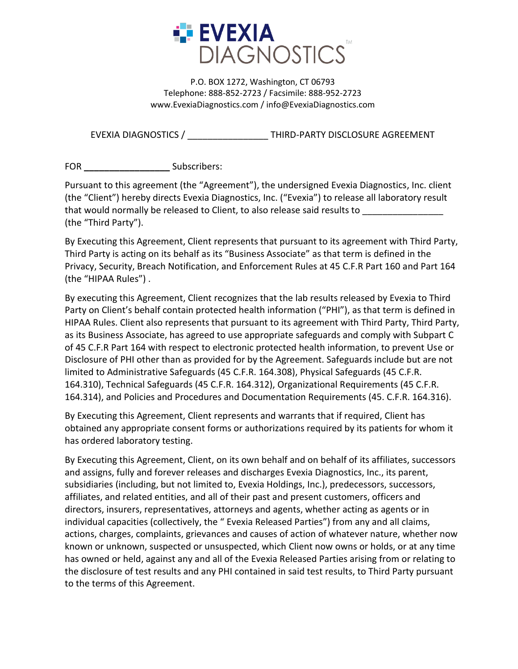

P.O. BOX 1272, Washington, CT 06793 Telephone: 888-852-2723 / Facsimile: 888-952-2723 www.EvexiaDiagnostics.com / info@EvexiaDiagnostics.com

EVEXIA DIAGNOSTICS / \_\_\_\_\_\_\_\_\_\_\_\_\_\_\_\_ THIRD-PARTY DISCLOSURE AGREEMENT

FOR Subscribers:

Pursuant to this agreement (the "Agreement"), the undersigned Evexia Diagnostics, Inc. client (the "Client") hereby directs Evexia Diagnostics, Inc. ("Evexia") to release all laboratory result that would normally be released to Client, to also release said results to \_\_\_\_\_\_ (the "Third Party").

By Executing this Agreement, Client represents that pursuant to its agreement with Third Party, Third Party is acting on its behalf as its "Business Associate" as that term is defined in the Privacy, Security, Breach Notification, and Enforcement Rules at 45 C.F.R Part 160 and Part 164 (the "HIPAA Rules") .

By executing this Agreement, Client recognizes that the lab results released by Evexia to Third Party on Client's behalf contain protected health information ("PHI"), as that term is defined in HIPAA Rules. Client also represents that pursuant to its agreement with Third Party, Third Party, as its Business Associate, has agreed to use appropriate safeguards and comply with Subpart C of 45 C.F.R Part 164 with respect to electronic protected health information, to prevent Use or Disclosure of PHI other than as provided for by the Agreement. Safeguards include but are not limited to Administrative Safeguards (45 C.F.R. 164.308), Physical Safeguards (45 C.F.R. 164.310), Technical Safeguards (45 C.F.R. 164.312), Organizational Requirements (45 C.F.R. 164.314), and Policies and Procedures and Documentation Requirements (45. C.F.R. 164.316).

By Executing this Agreement, Client represents and warrants that if required, Client has obtained any appropriate consent forms or authorizations required by its patients for whom it has ordered laboratory testing.

By Executing this Agreement, Client, on its own behalf and on behalf of its affiliates, successors and assigns, fully and forever releases and discharges Evexia Diagnostics, Inc., its parent, subsidiaries (including, but not limited to, Evexia Holdings, Inc.), predecessors, successors, affiliates, and related entities, and all of their past and present customers, officers and directors, insurers, representatives, attorneys and agents, whether acting as agents or in individual capacities (collectively, the " Evexia Released Parties") from any and all claims, actions, charges, complaints, grievances and causes of action of whatever nature, whether now known or unknown, suspected or unsuspected, which Client now owns or holds, or at any time has owned or held, against any and all of the Evexia Released Parties arising from or relating to the disclosure of test results and any PHI contained in said test results, to Third Party pursuant to the terms of this Agreement.